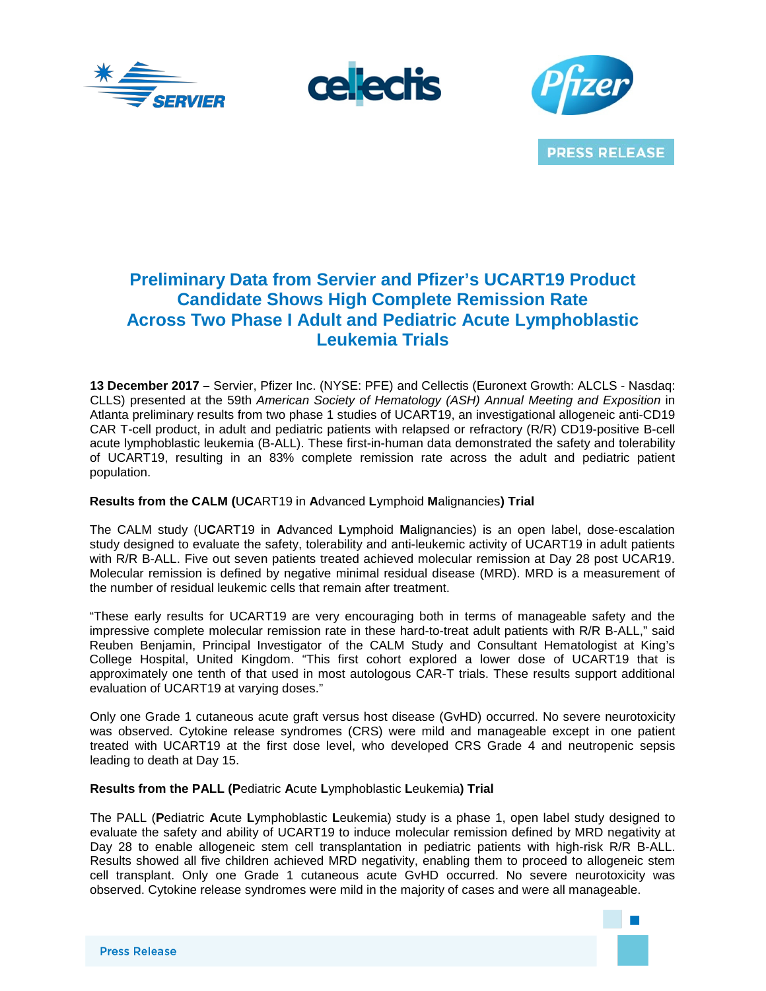





# **Preliminary Data from Servier and Pfizer's UCART19 Product Candidate Shows High Complete Remission Rate Across Two Phase I Adult and Pediatric Acute Lymphoblastic Leukemia Trials**

**13 December 2017 –** Servier, Pfizer Inc. (NYSE: PFE) and Cellectis (Euronext Growth: ALCLS - Nasdaq: CLLS) presented at the 59th *American Society of Hematology (ASH) Annual Meeting and Exposition* in Atlanta preliminary results from two phase 1 studies of UCART19, an investigational allogeneic anti-CD19 CAR T-cell product, in adult and pediatric patients with relapsed or refractory (R/R) CD19-positive B-cell acute lymphoblastic leukemia (B-ALL). These first-in-human data demonstrated the safety and tolerability of UCART19, resulting in an 83% complete remission rate across the adult and pediatric patient population.

# **Results from the CALM (**U**C**ART19 in **A**dvanced **L**ymphoid **M**alignancies**) Trial**

The CALM study (U**C**ART19 in **A**dvanced **L**ymphoid **M**alignancies) is an open label, dose-escalation study designed to evaluate the safety, tolerability and anti-leukemic activity of UCART19 in adult patients with R/R B-ALL. Five out seven patients treated achieved molecular remission at Day 28 post UCAR19. Molecular remission is defined by negative minimal residual disease (MRD). MRD is a measurement of the number of residual leukemic cells that remain after treatment.

"These early results for UCART19 are very encouraging both in terms of manageable safety and the impressive complete molecular remission rate in these hard-to-treat adult patients with R/R B-ALL," said Reuben Benjamin, Principal Investigator of the CALM Study and Consultant Hematologist at King's College Hospital, United Kingdom. "This first cohort explored a lower dose of UCART19 that is approximately one tenth of that used in most autologous CAR-T trials. These results support additional evaluation of UCART19 at varying doses."

Only one Grade 1 cutaneous acute graft versus host disease (GvHD) occurred. No severe neurotoxicity was observed. Cytokine release syndromes (CRS) were mild and manageable except in one patient treated with UCART19 at the first dose level, who developed CRS Grade 4 and neutropenic sepsis leading to death at Day 15.

# **Results from the PALL (P**ediatric **A**cute **L**ymphoblastic **L**eukemia**) Trial**

The PALL (**P**ediatric **A**cute **L**ymphoblastic **L**eukemia) study is a phase 1, open label study designed to evaluate the safety and ability of UCART19 to induce molecular remission defined by MRD negativity at Day 28 to enable allogeneic stem cell transplantation in pediatric patients with high-risk R/R B-ALL. Results showed all five children achieved MRD negativity, enabling them to proceed to allogeneic stem cell transplant. Only one Grade 1 cutaneous acute GvHD occurred. No severe neurotoxicity was observed. Cytokine release syndromes were mild in the majority of cases and were all manageable.

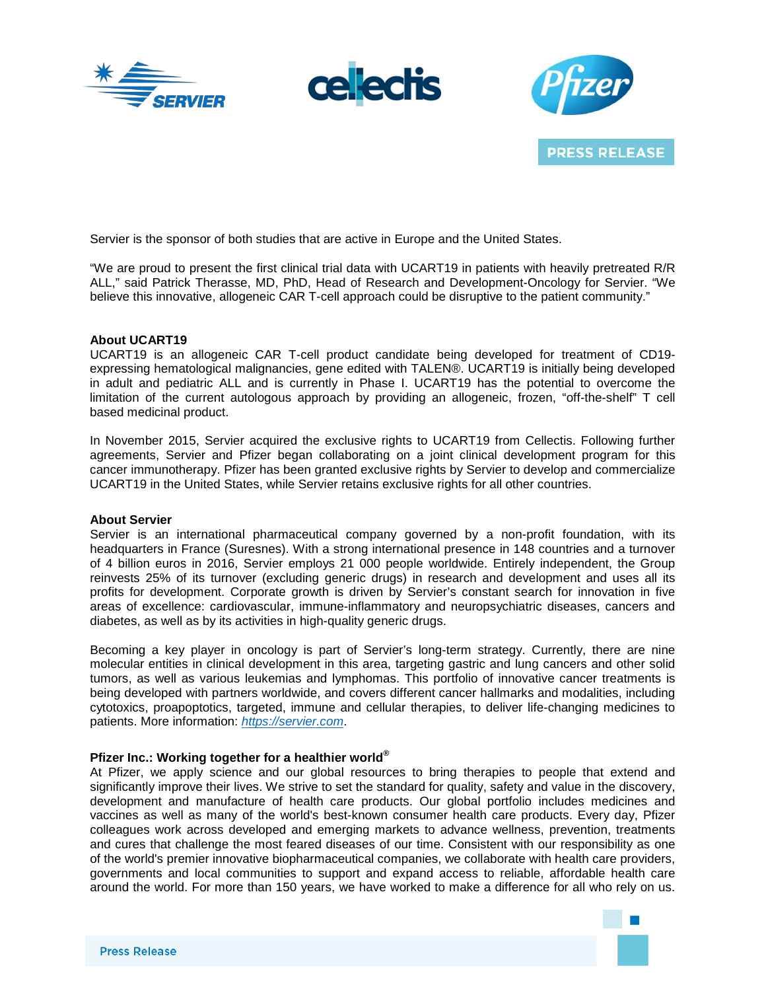





Servier is the sponsor of both studies that are active in Europe and the United States.

"We are proud to present the first clinical trial data with UCART19 in patients with heavily pretreated R/R ALL," said Patrick Therasse, MD, PhD, Head of Research and Development-Oncology for Servier. "We believe this innovative, allogeneic CAR T-cell approach could be disruptive to the patient community."

#### **About UCART19**

UCART19 is an allogeneic CAR T-cell product candidate being developed for treatment of CD19 expressing hematological malignancies, gene edited with TALEN®. UCART19 is initially being developed in adult and pediatric ALL and is currently in Phase I. UCART19 has the potential to overcome the limitation of the current autologous approach by providing an allogeneic, frozen, "off-the-shelf" T cell based medicinal product.

In November 2015, Servier acquired the exclusive rights to UCART19 from Cellectis. Following further agreements, Servier and Pfizer began collaborating on a joint clinical development program for this cancer immunotherapy. Pfizer has been granted exclusive rights by Servier to develop and commercialize UCART19 in the United States, while Servier retains exclusive rights for all other countries.

#### **About Servier**

Servier is an international pharmaceutical company governed by a non-profit foundation, with its headquarters in France (Suresnes). With a strong international presence in 148 countries and a turnover of 4 billion euros in 2016, Servier employs 21 000 people worldwide. Entirely independent, the Group reinvests 25% of its turnover (excluding generic drugs) in research and development and uses all its profits for development. Corporate growth is driven by Servier's constant search for innovation in five areas of excellence: cardiovascular, immune-inflammatory and neuropsychiatric diseases, cancers and diabetes, as well as by its activities in high-quality generic drugs.

Becoming a key player in oncology is part of Servier's long-term strategy. Currently, there are nine molecular entities in clinical development in this area, targeting gastric and lung cancers and other solid tumors, as well as various leukemias and lymphomas. This portfolio of innovative cancer treatments is being developed with partners worldwide, and covers different cancer hallmarks and modalities, including cytotoxics, proapoptotics, targeted, immune and cellular therapies, to deliver life-changing medicines to patients. More information: *[https://servier.com](https://servier.com/en/home/)*.

# **Pfizer Inc.: Working together for a healthier world®**

At Pfizer, we apply science and our global resources to bring therapies to people that extend and significantly improve their lives. We strive to set the standard for quality, safety and value in the discovery, development and manufacture of health care products. Our global portfolio includes medicines and vaccines as well as many of the world's best-known consumer health care products. Every day, Pfizer colleagues work across developed and emerging markets to advance wellness, prevention, treatments and cures that challenge the most feared diseases of our time. Consistent with our responsibility as one of the world's premier innovative biopharmaceutical companies, we collaborate with health care providers, governments and local communities to support and expand access to reliable, affordable health care around the world. For more than 150 years, we have worked to make a difference for all who rely on us.

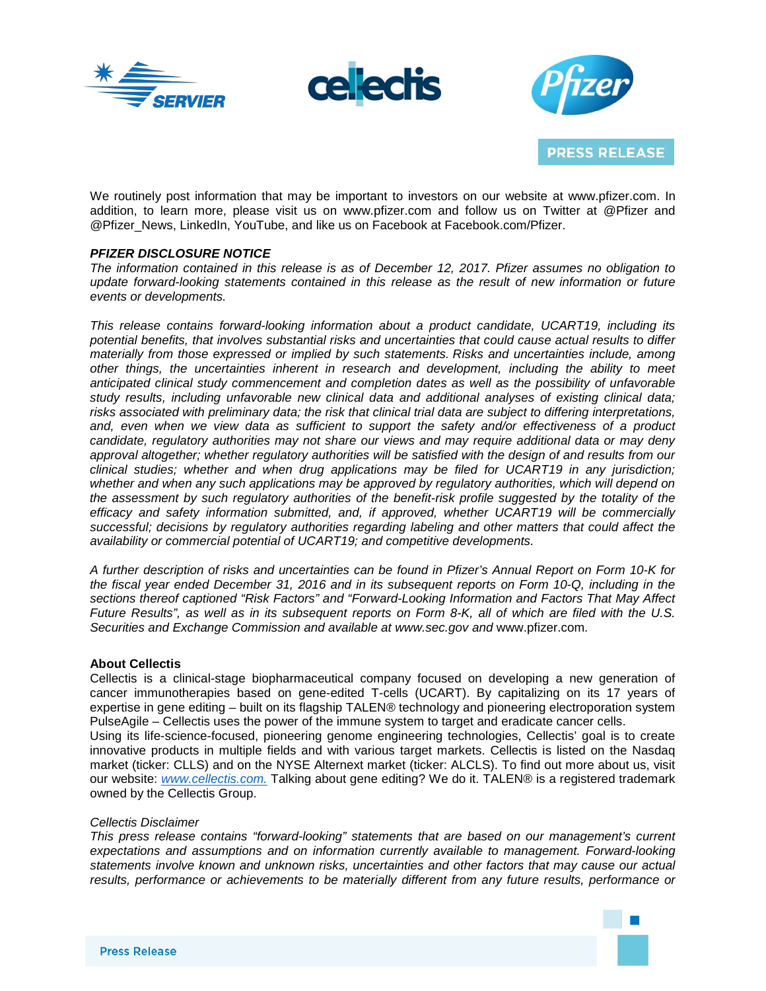





We routinely post information that may be important to investors on our website at www.pfizer.com. In addition, to learn more, please visit us on www.pfizer.com and follow us on Twitter at @Pfizer and @Pfizer\_News, LinkedIn, YouTube, and like us on Facebook at Facebook.com/Pfizer.

## *PFIZER DISCLOSURE NOTICE*

*The information contained in this release is as of December 12, 2017. Pfizer assumes no obligation to update forward-looking statements contained in this release as the result of new information or future events or developments.*

*This release contains forward-looking information about a product candidate, UCART19, including its potential benefits, that involves substantial risks and uncertainties that could cause actual results to differ materially from those expressed or implied by such statements. Risks and uncertainties include, among other things, the uncertainties inherent in research and development, including the ability to meet anticipated clinical study commencement and completion dates as well as the possibility of unfavorable study results, including unfavorable new clinical data and additional analyses of existing clinical data;* risks associated with preliminary data; the risk that clinical trial data are subject to differing interpretations, *and, even when we view data as sufficient to support the safety and/or effectiveness of a product candidate, regulatory authorities may not share our views and may require additional data or may deny approval altogether; whether regulatory authorities will be satisfied with the design of and results from our clinical studies; whether and when drug applications may be filed for UCART19 in any jurisdiction; whether and when any such applications may be approved by regulatory authorities, which will depend on the assessment by such regulatory authorities of the benefit-risk profile suggested by the totality of the efficacy and safety information submitted, and, if approved, whether UCART19 will be commercially successful; decisions by regulatory authorities regarding labeling and other matters that could affect the availability or commercial potential of UCART19; and competitive developments.*

A further description of risks and uncertainties can be found in Pfizer's Annual Report on Form 10-K for the fiscal year ended December 31, 2016 and in its subsequent reports on Form 10-Q, including in the *sections thereof captioned "Risk Factors" and "Forward-Looking Information and Factors That May Affect* Future Results", as well as in its subsequent reports on Form 8-K, all of which are filed with the U.S. *Securities and Exchange Commission and available at www.sec.gov and* www.pfizer.com*.*

#### **About Cellectis**

Cellectis is a clinical-stage biopharmaceutical company focused on developing a new generation of cancer immunotherapies based on gene-edited T-cells (UCART). By capitalizing on its 17 years of expertise in gene editing – built on its flagship TALEN® technology and pioneering electroporation system PulseAgile – Cellectis uses the power of the immune system to target and eradicate cancer cells.

Using its life-science-focused, pioneering genome engineering technologies, Cellectis' goal is to create innovative products in multiple fields and with various target markets. Cellectis is listed on the Nasdaq market (ticker: CLLS) and on the NYSE Alternext market (ticker: ALCLS). To find out more about us, visit our website: *www.cellectis.com.* Talking about gene editing? We do it. TALEN® is a registered trademark owned by the Cellectis Group.

#### *Cellectis Disclaimer*

*This press release contains "forward-looking" statements that are based on our management's current expectations and assumptions and on information currently available to management. Forward-looking statements involve known and unknown risks, uncertainties and other factors that may cause our actual results, performance or achievements to be materially different from any future results, performance or*